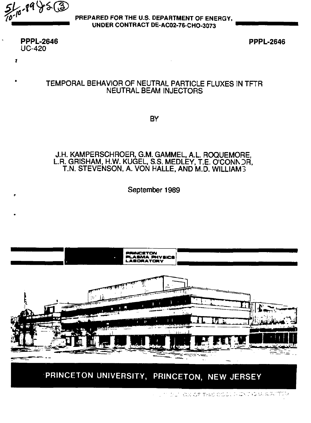$516.9975$  (3

PREPARED FOR THE U.S. DEPARTMENT OF ENERGY, UNDER CONTRACT DE-AC02-76-CHO-3073

**PPPL-2646**  $UC-420$ 

Î.

**PPPL-2646** 

## TEMPORAL BEHAVIOR OF NEUTRAL PARTICLE FLUXES IN TFTR **NEUTRAL BEAM INJECTORS**

**BY** 

### J.H. KAMPERSCHROER, G.M. GAMMEL, A.L. ROQUEMORE, L.R. GRISHAM, H.W. KUGEL, S.S. MEDLEY, T.E. O'CONN OR, T.N. STEVENSON, A. VON HALLE, AND M.D. WILLIAM3

September 1989



PRINCETON UNIVERSITY, PRINCETON, NEW JERSEY

ELTERN OF THIS DOCK A CATEGO ALIMITOD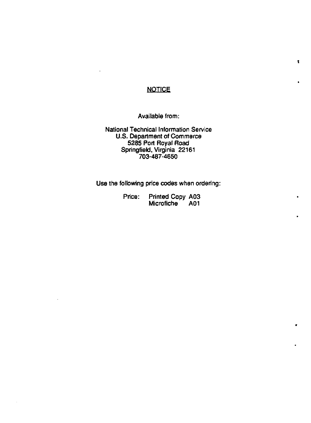## **NOTICE**

**t** 

Available from:

National Technical Information Service U.S. Department of Commerce 5285 Port Royal Road Springfield, Virginia 22161 703-487-4650

Use the following price codes when ordering:

| Price: | Printed Copy A03 |     |
|--------|------------------|-----|
|        | Microfiche       | A01 |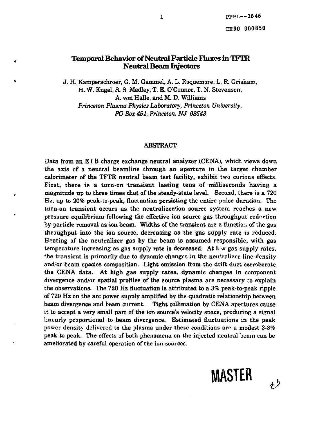### **Temporal Behavior of Neutral Particle Fluxes in TFTR Neutral Beam Injectors**

x

J. H. Kamperschroer, G. M. Gammel, A. L. Roquemore, L. R. Grisham, H. W. Kugel, S. S. Medley, T. E. O'Connor, T. N. Stevenson, A. von Halle, and M. D. Williams *Princeton Plasma Physics Laboratory, Princeton University, PO Box 451, Princeton, NJ 08543* 

### ABSTRACT

Data from an E IB charge exchange neutral analyzer (CENA), which views down the axis of a neutral beamline through an aperture in the target chamber calorimeter of the TFTR neutral beam test facility, exhibit two curious effects. First, there is a turn-on transient lasting tens of milliseconds having a magnitude up to three times that of the steady-state level. Second, there is a 720 Hz, up to 20% peak-to-peak, fluctuation persisting the entire pulse duration. The turn-on transient occurs as the neutralizer/ion source system reaches a new pressure equilibrium following the effective ion source gas throughput reduction by particle removal as ion beam. Widths of the transient are a function of the gas throughput into the ion source, decreasing as the gas supply rate is reduced. Heating of the neutralizer gas by the beam is assumed responsible, with gas temperature increasing as gas supply rate is decreased. At  $\log$  gas supply rates, the transient is primarily due to dynamic changes in the neutralizer line density and/or beam species composition. Light emission from the drift duct corroborate the CENA data. At high gas supply rates, dynamic changes in component divergence and/or spatial profiles of the source plasma are necessary to explain the observations. The 720 Hz fluctuation is attributed to a *3%* peak-to-peak ripple of 720 Hz on the arc power supply amplified by the quadratic relationship between beam divergence and beam current. Tight collimation by CENA apertures cause it to accept a very small part of the ion source's velocity space, producing a signal linearly proportional to beam divergence. Estimated fluctuations in the peak power density delivered to the plasma under these conditions are a modest 3-8% peak to peak. The effects of both phenomena on the injected neutral beam can be ameliorated by careful operation of the ion sources.



 $t^{\flat}$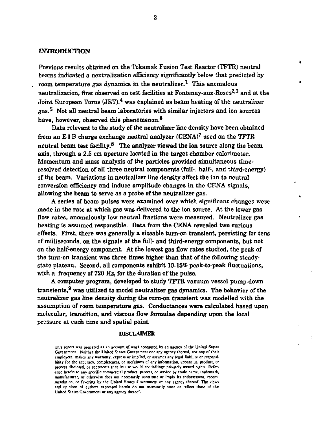### **INTRODUCTION**

**Previous results obtained on the Tokamak Fusion Test Reactor (TFTR) neutral beams indicated a neutralization efficiency significantly below that predicted by room temperature gas dynamics in the neutralizer.<sup>1</sup> This anomalous neutralization, first observed on test facilities at Fontenay-aux-Roses<sup>2</sup> - 3 and at the Joint European Torus (JET),<sup>4</sup> was explained as beam heating of the neutralizer gas. <sup>5</sup> Not all neutral beam laboratories with similar injectors and ion sources have, however, observed this phenomenon.<sup>6</sup>**

**Data relevant to the study of the neutralizer line density have been obtained from an £ IIB charge exchange neutral analyzer (CENA)<sup>7</sup> used on the TFTR neutral beam test facility.<sup>9</sup> The analyzer viewed the ion source along the beam axis, through a 2.5 cm aperture located in the target chamber calorimeter. Momentum and mass analysis of the particles provided simultaneous timeresolved detection of all three neutral components (full-, half-, and third-energy) of the beam. Variations in neutralizer line density affect the ion to neutral conversion efficiency and induce amplitude changes in the CENA signals, allowing the beam to serve as a probe of the neutralizer gas.** 

**A series of beam pulses were examined over which significant changes were made in the rate at which gas was delivered to the ion source. At the lower gas flow rates, anomalously low neutral fractions were measured. Neutralizer gas heating is assumed responsible. Data from the CENA revealed two curious effects. First, there was generally a sizeable turn-on transient, persisting for tens of milliseconds, on the signals of the full- and third-energy components, but not on the half-energy component At the lowest gas flow rates studied, the peak of the tum-on transient was three times higher than that of the following steadystate plateau. Second, all components exhibit 10-15% peak-to-peak fluctuations, with a frequency of 720 Hz, for the duration of the pulse.** 

**A computer program, developed to study TFTR vacuum vessel pump-down transients,<sup>9</sup> was utilized to model neutralizer gas dynamics. The behavior of the neutralizer gas line density during the turn-on transient was modelled with the assumption of room temperature gas. Conductances were calculated based upon molecular, transition, and viscous flow formulae depending upon the local pressure at each time and spatial point** 

#### **DISCLAIMER**

**This report was prepared as an account of work sponsored by an agency or the United States**  Government. Neither the United States Government nor any agency thereof, nor any of their **employees, makes any warranty, express or implied, or assumes any legal liability or responsibility tor the accuracy, completeness, or usefulness of any information, apparatus, product, or process disclosed, or represents that its use would not infringe privately owned rights. Reference herein to any specific commercial product, process, or service by trade name, trademark, manufacturer, or otherwise does not necessarily constitute or imply its endorsement, recommendation, or favoring by the United States Government Of any agency thereof. The views and opinions of authors expressed herein do not necessarily state or reflect those of the United States Government or any agency thereof.**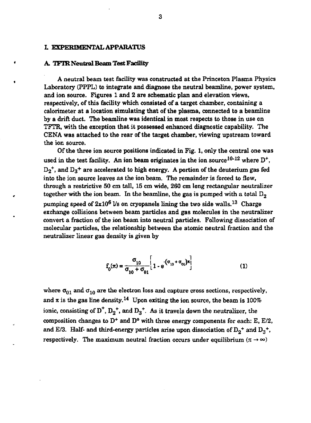### **L EXPERIMENTAL APPARATUS**

#### **A. TFTR Neutral Beam** Test **Facility**

٠

A neutral beam test facility was constructed at the Princeton Plasma Physics Laboratory (PPPL) to integrate and diagnose the neutral beamline, power system, and ion source. Figures 1 and 2 are schematic plan and elevation views, respectively, of this facility which consisted of a target chamber, containing a calorimeter at a location simulating that of the plasma, connected to a beamline by a drift duct. The beamline was identical in most respects to those in use on TFTR, with the exception that it possessed enhanced diagnostic capability. The CENA was attached to the rear of the target chamber, viewing upstream toward the ion source.

Of the three ion source positions indicated in Fig. 1, only the central one was used in the test facility. An ion beam originates in the ion source<sup>10-12</sup> where  $D^+$ ,  $D_2$ <sup>+</sup>, and  $D_3$ <sup>+</sup> are accelerated to high energy. A portion of the deuterium gas fed into the ion source leaves as the ion beam. The remainder is forced to flow, through a restrictive 50 cm tall, 15 cm wide, 260 cm long rectangular neutralizer together with the ion beam. In the beamline, the gas is pumped with a total  $D_2$ pumping speed of  $2x10^6$  Vs on cryopanels lining the two side walls.<sup>13</sup> Charge exchange collisions between beam particles and gas molecules in the neutralizer convert a fraction of the ion beam into neutral particles. Following dissociation of molecular particles, the relationship between the atomic neutral fraction and the neutralizer linear gas density is given by

$$
f_0(\pi) = \frac{\sigma_{10}}{\sigma_{10} + \sigma_{01}} \left[ 1 - e^{(\sigma_{10} + \sigma_{01})\pi} \right]
$$
(1)

where  $\sigma_{01}$  and  $\sigma_{10}$  are the electron loss and capture cross sections, respectively, and  $\pi$  is the gas line density.<sup>14</sup> Upon exiting the ion source, the beam is 100% ionic, consisting of  $D^+$ ,  $D_2^+$ , and  $D_3^+$ . As it travels down the neutralizer, the composition changes to  $D^+$  and  $D^0$  with three energy components for each: E, E/2, and E/3. Half- and third-energy particles arise upon dissociation of  $D_2$ <sup>+</sup> and  $D_3$ <sup>+</sup>, respectively. The maximum neutral fraction occurs under equilibrium  $(\pi \to \infty)$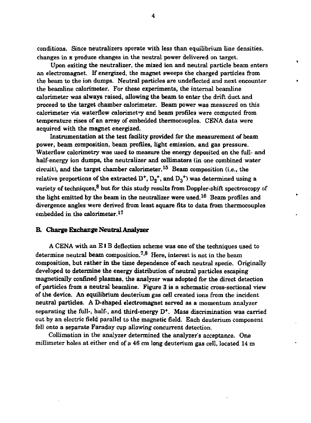conditions. Since neutralizers operate with less than equilibrium line densities, changes in  $\pi$  produce changes in the neutral power delivered on target.

 $\bullet$ 

Upon exiting the neutralizer, the mixed ion and neutral particle beam enters an electromagnet. If energized, the magnet sweeps the charged particles from the beam to the ion dumps. Neutral particles are undeflected and next encounter the beamline calorimeter. For these experiments, the internal beamline calorimeter was always raised, allowing the beam to enter the drift duct and proceed to the target chamber calorimeter. Beam power was measured on this calorimeter via waterflow calorimetry and beam profiles were computed from temperature rises of an array of embedded thermocouples. CENA data were acquired with the magnet energized.

Instrumentation at the test facility provided for the measurement of beam power, beam composition, beam profiles, light emission, and gas pressure. Waterflow calorimetry was used to measure the energy deposited on the full- and half-energy ion dumps, the neutralizer and collimators (in one combined water circuit), and the target chamber calorimeter.<sup>13</sup> Beam composition (i.e., the relative proportions of the extracted  $\rm{D}^*,$   $\rm{D_2^*},$  and  $\rm{D_3^*}$ ) was determined using a variety of techniques, $^8$  but for this study results from Doppler-shift spectroscopy of the light emitted by the beam in the neutralizer were used.<sup>16</sup> Beam profiles and divergence angles were derived from least square fits to data from thermocouples embedded in the calorimeter. $17$ 

#### **B. Charge Exchange Neutral Analyzer**

A CENA with an EIB deflection scheme was one of the techniques used to determine neutral beam composition.<sup>7,8</sup> Here, interest is not in the beam composition, but rather in the time dependence of each neutral specie. Originally developed to determine the energy distribution of neutral particles escaping magnetically confined plasmas, the analyzer was adopted for the direct detection of particles from a neutral beamline. Figure 3 is a schematic cross-sectional view of the device. An equilibrium deuterium gas cell created ions from the incident neutral particles. A D-shaped electromagnet served as a momentum analyzer separating the full-, half-, and third-energy  $D^+$ . Mass discrimination was carried out by an electric field parallel to the magnetic field. Each deuterium component fell onto a separate Faraday cup allowing concurrent detection.

Collimation in the analyzer determined the analyzer's acceptance. One millimeter holes at either end of a 46 cm long deuterium gas cell, located 14 m

**4**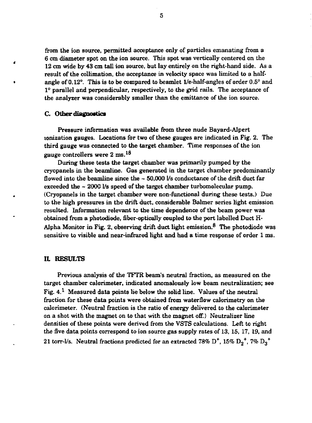from the ion source, permitted acceptance only of particles emanating from a 6 cm diameter spot on the ion source. This spot was vertically centered on the 12 cm wide by 43 cm tall ion source, but lay entirely on the right-hand side. As a result of the collimation, the acceptance in velocity space was limited to a half angle of 0.12°. This is to be compared to beamlet 1/e-half-angles of order  $0.5^{\circ}$  and 1° parallel and perpendicular, respectively, to the grid rails. The acceptance of the analyzer was considerably smaller than the emittance of the ion source.

#### C. Other **diagnostics**

Pressure information was available from three nude Bayard-Alpert ionization gauges. Locations for two of these gauges are indicated in Fig. 2. The third gauge was connected to the target chamber. Time responses of the ion gauge controllers were  $2 \text{ ms.}^{18}$ 

During these tests the target chamber was primarily pumped by the cryopanels in the beamline. Gas generated in the target chamber predominantly flowed into the beamline since the  $\sim$  50,000 l/s conductance of the drift duct far exceeded the ~ 200C 1/s speed of the target chamber turbomolecular pump. (Cryopanels in the target chamber were non-functional during these tests.) Due to the high pressures in the drift duct, considerable Balmer series light emission resulted. Information relevant to the time dependence of the beam power was obtained from a photodiode, fiber-optically coupled to the port labelled Duct H-Alpha Monitor in Fig. 2, observing drift duct light emission.<sup>8</sup> The photodiode was sensitive to visible and near-infrared light and had a time response of order 1 ms.

#### It RESULTS

Previous analysis of the TFTR beam's neutral fraction, as measured on the target chamber calorimeter, indicated anomalously low beam neutralization; see Fig.  $4.1$  Measured data points lie below the solid line. Values of the neutral fraction for these data points were obtained from waterflow calorimetry on the calorimeter. (Neutral fraction is the ratio of energy delivered to the calorimeter on a shot with the magnet on to that with the magnet off.) Neutralizer line densities of these points were derived from the VSTS calculations. Left to right the five data points correspond to ion source gas supply rates of 13, 15, 17, 19, and 21 torr-l/s. Neutral fractions predicted for an extracted 78%  $\rm D^*$ , 15%  $\rm D_2^{\bullet +}$ , 7%  $\rm D_3^{\bullet +}$ 

**5**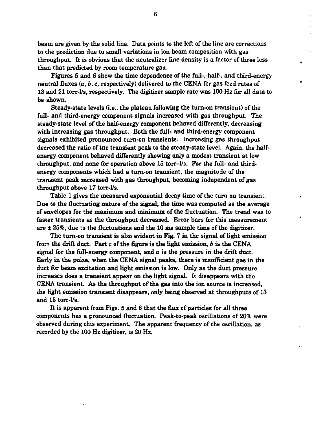**beam are given by the solid line. Data points to the left of the line are corrections to the prediction due to small variations in ion beam composition with gas throughput. It is obvious that the neutralizer line density is a factor of three less than that predicted by room temperature gats.** 

**Figures 5 and 6 show the time dependence of the full-, half-, and third-energy neutral fluxes (a,** *b, c,* **respectively) delivered to the CENA for gas feed rates of 13 and 21 torr-l/s, respectively. The digitizer sample rate was 100 Hz for all data to be shown.** 

**Steady-state levels (i.e., the plateau following the turn-on transient) of the full- and third-energy component signals increased with gas throughput. The steady-state level of the half-energy component behaved differently, decreasing with increasing gas throughput. Both the full- and third-energy component signals exhibited pronounced turn-on transients. Increasing gas throughput decreased the ratio of the transient peak to the steady-state level. Again, the halfenergy component behaved differently showing only a modest transient at low throughput, and none for operation above 15 torr-l/s. For the full- and thirdenergy components which had a turn-on transient, the magnitude of the transient peak increased with gas throughput, becoming independent of gas throughput above 17 torr-l/s.** 

**Table 1 gives the measured exponential decay time of the turn-on transient. Due to the fluctuating nature of the signal, the time was computed as the average of envelopes for the maximum and minimum of the fluctuation. The trend was to faster transients as the throughput decreased. Error bars for this measurement are + 25%, due to the fluctuations and the 10 ms sample time of the digitizer.** 

**The turn-on transient is also evident in Fig. 7 in the signal of light emission from the drift duct. Part c of the figure is the light emission,** *b* **is the CENA signal for the full-energy component, and** *a* **is the pressure in the drift duct. Early in the pulse, when the CENA signal peaks, there is insufficient gas in the duct for beam excitation and light emission is low. Only as the duct pressure increases does a transient appear on the light signal. It disappears with the CENA transient. As the throughput of the gas into the ion source is increased, the light emission transient disappears, only being observed at throughputs of 13 and 15 torr-l/s.** 

**It is apparent from Figs. 5 and 6 that the flux of particles for all three components has a pronounced fluctuation. Peak-to-peak oscillations of 20% were observed during this experiment. The apparent frequency of the oscillation, as recorded by the 100 Hz digitizer, is 20 Hz.**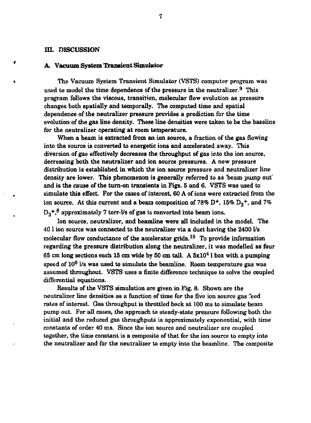#### in. DISCUSSION

#### **A, Vacuum System Transient Simulator**

» The Vacuum System Transient Simulator (VSTS) computer program was used to model the time dependence of the pressure in the neutralizer.<sup>9</sup> This program follows the viscous, transition, molecular flow evolution as pressure changes both spatially and temporally. The computed time and spatial dependence of the neutralizer pressure provides a prediction for the time evolution of the gas line density. These line densities were taken to be the baseline for the neutralizer operating at room temperature.

When a beam is extracted from an ion source, a fraction of the gas flowing into the source is converted to energetic ions and accelerated away. This diversion of gas effectively decreases the throughput of gas into the ion source, decreasing both the neutralizer and ion source pressures. A new pressure distribution is established in which the ion source pressure and neutralizer line density are lower. This phenomenon is generally referred to as 'beam pump out' and is the cause of the turn-on transients in Figs. 5 and 6. VSTS was used to simulate this effect. For the cases of interest, 60 A of ions were extracted from the ion source. At this current and a beam composition of 78%  $D^{+}$ , 15%  $D_2^{+}$ , and 7%  $D_3^+$ ,<sup>8</sup> approximately 7 torr-Vs of gas is converted into beam ions.

Ion source, neutralizer, and beamline were all included in the model. The 40 1 ion source was connected to the neutralizer via a duct having the 2400 1/s molecular flow conductance of the accelerator grids.<sup>19</sup> To provide information regarding the pressure distribution along the neutralizer, it was modelled as four 65 cm long sections each 15 cm wide by 50 cm tall. A  $5x10<sup>4</sup>$  l box with a pumping speed of 10<sup>6</sup> 1/s was used to simulate the beamline. Room temperature gas was assumed throughout. VSTS uses a finite difference technique to solve the coupled differential equations.

Results of the VSTS simulation are given in Fig. 8. Shown are the neutralizer line densities as a function of time for the five ion source gas feed rates of interest. Gas throughput is throttled back at 100 ms to simulate beam pump out. For all cases, the approach to steady-state pressure following both the initial and the reduced gas throughputs is approximately exponential, with time constants of order 40 ms. Since the ion source and neutralizer are coupled together, the time constant is a composite of that for the ion source to empty into the neutralizer and for the neutralizer to empty into the beamline. The composite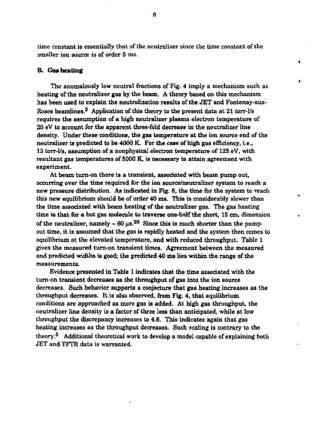**time constant is essentially that of the neutralizer since the time constant of the smaller ion source is of order 5 ms.** 

 $\blacksquare$ 

#### **B. Gas heating**

**The anomalously low neutral fractions of Fig. 4 imply a mechanism such as heating of the neutralizer gas by the beam. A theory based on this mechanism has been used to explain the neutralization results of the JET and Fontenay-aux-Roses beamlines.<sup>5</sup> Application of this theory to the present data at 21 torr-l/s requires the assumption of a high neutralizer plasma electron temperature of 20 eV to account for the apparent three-fold decrease in the neutralizer line density. Under these conditions, the gas temperature at the ion source end of the neutralizer is predicted to be 4000 K. For the case of high gas efficiency, i.e., 13 torr-l/s, assumption of a nonphysical electron temperature of 125 eV, with resultant gas temperatures of 5000 K, is necessary to attain agreement with experiment.** 

**At beam turn-on there is a transient, associated with beam pump out, occurring over the time required for the ion source/neutralizer system to reach a new pressure distribution. As indicated in Fig. 8, the time for the system to reach this new equilibrium should be of order 40 ms. This is considerably slower than the time associated with beam heating of the neutralizer gas. The gas heating time is that for a hot gas molecule to traverse one-half the short, 15 cm, dimension**  of the neutralizer, namely  $\sim 60 \,\mu s^{20}$  Since this is much shorter than the pump**out time, it is assumed that the gas is rapidly heated and the system then comes to equilibrium at the elevated temperature, and with reduced throughput. Table 1 gives the measured turn-on transient times. Agreement between the measured and predicted widths is good; the predicted 40 ms lies within the range of the measurements.** 

**Evidence presented in Table 1 indicates that the time associated with the turn-on transient decreases as the throughput of gas into the ion source decreases. Such behavior supports a conjecture that gas heating increases as the throughput decreases. It is also observed, from Fig. 4, that equilibrium conditions are approached as more gas is added. At high gas throughput, the neutralizer line density is a factor of three less than anticipated, while at low throughput the discrepancy increases to 4.6. This indicates again that gas heating increases as the throughput decreases. Such scaling is contrary to the theory.<sup>5</sup> Additional theoretical work to develop a model capable of explaining both JET and TFTR data is warranted.**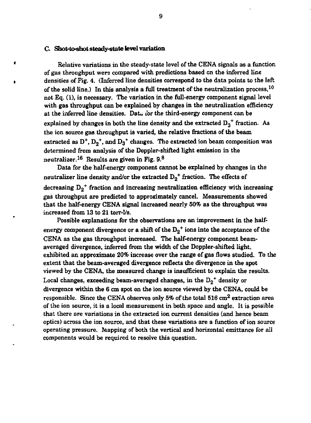### **C. Shot-to-shot steady-state level variation**

 $\bullet$ 

**Relative variations in the steady-state level of the CENA signals as a function of gas throughput were compared with predictions based en the inferred line densities of Fig. 4. (Inferred line densities correspond to the data points to the left of the solid line.) In this analysis a full treatment of the neutralization process, <sup>1</sup> <sup>0</sup> not Eq. (1), is necessary. The variation in the full-energy component signal level with gas throughput can be explained by changes in the neutralization efficiency at the inferred line densities. Dat« ibr the third-energy component can be**  explained by changes in both the line density and the extracted  $D_3$  fraction-As **the ion source gas throughput is varied, the relative fractions of the beam**  extracted as  $D^+$ ,  $D_2^+$ , and  $D_3^+$  changes. The extracted ion beam composition was **determined from analysis of the Doppler-shifted light emission in the neutralizer. <sup>1</sup> <sup>6</sup> Results are given in Fig. 9. <sup>8</sup>**

**Data for the half-energy component cannot be explained by changes in the**  neutralizer line density and/or the extracted  $D_2$ <sup>+</sup> fraction. The effects of **decreasing D <sup>2</sup> + fraction and increasing neutralization efficiency with increasing gas throughput are predicted to approximately cancel. Measurements showed that the half-energy CENA signal increased nearly 50% as the throughput was increased from 13 to 21 torr-!/s.** 

**Possible explanations for the observations are an improvement in the half**energy component divergence or a shift of the  $D_2$ <sup>+</sup> ions into the acceptance of the **CENA as the gas throughput increased. The half-energy component beamaveraged divergence, inferred from the width of the Doppler-shifted light, exhibited an approximate 20% increase over the range of gas flows studied. To the extent that the beam-averaged divergence reflects the divergence in the spot viewed by the CENA, the measured change is insufficient to explain the results.**  Local changes, exceeding beam-averaged changes, in the  $D_2$ <sup>+</sup> density or **divergence within the 6 cm spot on the ion source viewed by die CENA, could be responsible. Since the CENA observes only 5% of the total 516 cm<sup>2</sup> extraction area of the ion source, it is a local measurement in both space and angle. It is possible that there are variations in the extracted ion current densities (and hence beam optics) across the ion source, and that these variations are a function of ion source operating pressure. Mapping of both the vertical and horizontal emittance for all components would be required to resolve this question.**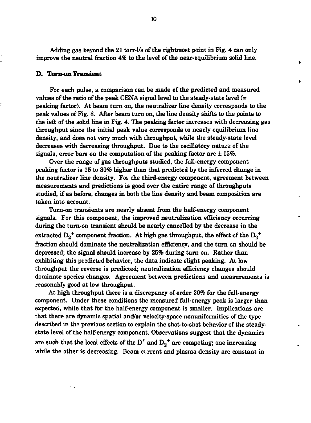Adding gas beyond the 21 torr-l/s of the rightmost point in Fig. 4 can only improve the neutral fraction 4% to the level of the near-equilibrium solid line.

f.

#### **D. Turn-on Transient**

н,

For each pulse, a comparison can be made of the predicted and measured values of the ratio of the peak CENA signal level to the steady-state level (= peaking factor). At beam turn on, the neutralizer line density corresponds to the peak values of Fig. 8. After beam turn on, the line density shifts to the points to the ieft of the solid line in Fig. 4. The peaking factor increases with decreasing gas throughput since the initial peak value corresponds to nearly equilibrium line density, and does not vary much with throughput, while the steady-state level decreases with decreasing throughput. Due to the oscillatory nature of the signals, error bars on the computation of the peaking factor are  $\pm 15\%$ .

Over the range of gas throughputs studied, the full-energy component peaking factor is 15 to 30% higher than that predicted by the inferred change in the neutralizer line density. For the third-energy component, agreement between measurements and predictions is good over the entire range of throughputs studied, if as before, changes in both the line density and beam composition are taken into account.

Turn-on transients are nearly absent from the half-energy component signals. For this component, the improved neutralization efficiency occurring during the turn-on transient should be nearly cancelled by the decrease in the extracted  $\rm D_2^+$  component fraction. At high gas throughput, the effect of the  $\rm D_2^+$ fraction should dominate the neutralization efficiency, and the turn an should be depressed; the signal should increase by 25% during turn on. Rather than exhibiting this predicted behavior, the data indicate slight peaking. At low throughput the reverse is predicted; neutralization efficiency changes should dominate species changes. Agreement between predictions and measurements is reasonably good at low throughput.

At high throughput there is a discrepancy of order 30% for the full-energy component. Under these conditions the measured full-energy peak is larger than expected, while that for the half-energy component is smaller. Implications are that there are dynamic spatial and/or velocity-space nonuniformities of the type described in the previous section to explain the shot-to-shot behavior of the steadystate level of the half-energy component. Observations suggest that the dynamics are such that the local effects of the D<sup>+</sup> and  $D_2$ <sup>+</sup> are competing; one increasing while the other is decreasing. Beam current and plasma density are constant in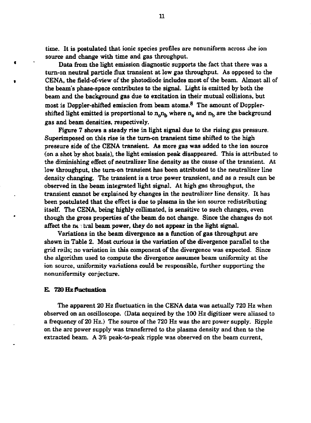**time. It is postulated that ionic species profiles are nonuniform across the ion source and change with time and gas throughput.** 

**Data from the light emission diagnostic supports the fact that there was a turn-on neutral particle flux transient at low gas throughput. As opposed to the CENA, the field-of-view of the photodiode includes most of the beam. Almost all of the beam's phase-space contributes to the signal. Light is emitted by both the beam and the background gas due to excitation in their mutual collisions, but most is Doppler-shifted emission from beam atoms. <sup>8</sup> The amount of Doppler-** $\sin$  **shifted light emitted is proportional to n<sub>***n***</sub><sub>1</sub>, where n<sub>***n***</sub> and n<sub>***b***</sub> are the background gas and beam densities, respectively.** 

**Figure 7 shows a steady rise in light signal due to the rising gas pressure. Superimposed on this rise is the turn-on transient time shifted to the high pressure side of the CENA transient. As more gas was added to the ion source (on a shot by shot basis), the light emission peak disappeared. This is attributed to the diminishing effect of neutralizer line density as the cause of the transient. At low throughput, the turn-on transient has been attributed to the neutralizer line density changing. The transient is a true power transient, and as a result can be observed in the beam integrated light signal. At high gas throughput, the transient cannot be explained by changes in the neutralizer line density. It has been postulated that the effect is due to plasma in the ion source redistributing itself. The CENA, being highly collimated, is sensitive to such changes, even though the gross properties of the beam do not change. Since the changes do not affect the nettal beam power, they do not appear in the light signal.** 

**Variations in the beam divergence as a function of gas throughput are shown in Table 2. Most curious is the variation of the divergence parallel to the grid rails; no variation in this component of the divergence was expected. Since the algorithm used to compute the divergence assumes beam uniformity at the ion source, uniformity variations could be responsible, further supporting the nonuniformity conjecture.** 

#### **E. 720 Hz fluctuation**

 $\bullet$ 

**The apparent 20 Hz fluctuation in the CENA data was actually 720 Hz when observed on an oscilloscope. (Data acquired by the 100 Hz digitizer were aliased to a frequency of 20 Hz.) The source of the 720 Hz was the arc power supply. Ripple on the arc power supply was transferred to the plasma density and then to the extracted beam. A** *3%* **peak-to-peak ripple was observed on the beam current,** 

**11**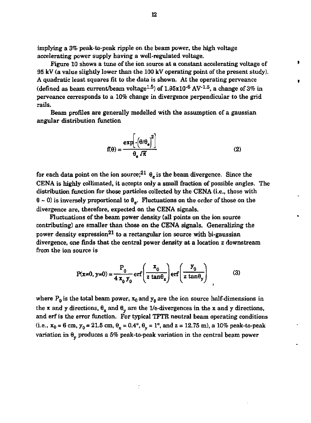implying a 3% peak-to-peak ripple on the beam power, the high voltage accelerating power supply having a well-regulated voltage.

Figure 10 shows a tune of the ion source at a constant accelerating voltage of 95 kV (a value slightly lower than the 100 kV operating point of the present study). A quadratic least squares fit to the data is shown. At the operating perveance (defined as beam current/beam voltage<sup>1.5</sup>) of 1.95x10<sup>-6</sup> AV<sup>-1.5</sup>, a change of 3% in perveance corresponds to a 10% change in divergence perpendicular to the grid rails.

Beam profiles are generally modelled with the assumption of a gaussian angular distribution function

$$
f(\theta) = \frac{\exp\left[-\left(\theta/\theta_{e}\right)^{2}\right]}{\theta_{e} \sqrt{\pi}}
$$
 (2)

for each data point on the ion source;<sup>21</sup>  $\theta_e$  is the beam divergence. Since the CENA is highly collimated, it accepts only a small fraction of possible angles. The distribution function for those particles collected by the CENA (i.e., those with  $\theta \sim 0$ ) is inversely proportional to  $\theta_{\alpha}$ . Fluctuations on the order of those on the divergence are, therefore, expected on the CENA signals.

Fluctuations of the beam power density (all points on the ion source contributing) are smaller than those on the CENA signals. Generalizing the power density expression<sup>21</sup> to a rectangular ion source with bi-gaussian divergence, one finds that the central power density at a location z downstream from the ion source is

$$
P(x=0, y=0) = \frac{P_0}{4 x_0 y_0} erf\left(\frac{x_0}{z \tan \theta_x}\right) erf\left(\frac{y_0}{z \tan \theta_y}\right)
$$
 (3)

where  $P_0$  is the total beam power,  $x_0$  and  $y_0$  are the ion source half-dimensions in the x and y directions,  $\theta_{\rm v}$  and  $\theta_{\rm u}$  are the 1/e-divergences in the x and y directions, and erf is the error function. For typical TFTR neutral beam operating conditions (i.e.,  $x_0 = 6$  cm,  $y_0 = 21.5$  cm,  $\theta_x = 0.4^{\circ}$ ,  $\theta_y = 1^{\circ}$ , and  $z = 12.75$  m), a 10% peak-to-peak variation in  $\theta_v$  produces a 5% peak-to-peak variation in the central beam power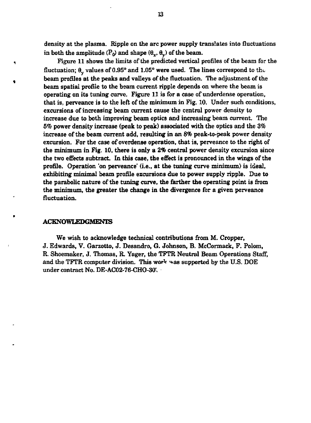**density at the plasma. Ripple on the arc power supply translates into fluctuations**  in both the amplitude  $(P_0)$  and shape  $(\theta_x, \theta_y)$  of the beam.

**Figure 11 shows the limits of the predicted vertical profiles of the beam for the**  fluctuation;  $\theta_{\rm v}$  values of 0.95° and 1.05° were used. The lines correspond to the **beam profiles at the peaks and valleys of the fluctuation. The adjustment of the beam spatial profile to the beam current ripple depends on where the beam is operating on its tuning curve. Figure 11 is for a case of underdense operation, that is, perveance is to the left of the minimum in Fig. 10. Under such conditions, excursions of increasing beam current cause the central power density to increase due to both improving beam optics and increasing beam current. The**  *5%* **power density increase (peak to peak) associated with the optics and the 3% increase of the beam current add, resulting in an** *8%* **peak-to-peak power density excursion. For the case of overdense operation, that is, perveance to the right of the minimum in Fig. 10, there is only a 2% central power density excursion since the two effects subtract. In this case, the effect is pronounced in the wings of the profile. Operation 'on perveance' (i.e., at the tuning curve minimum) is ideal, exhibiting minimal beam profile excursions due to power supply ripple. Due to the parabolic nature of the tuning curve, the farther the operating point is from the minimum, the greater the change in the divergence for a given perveance fluctuation.** 

#### **ACKNOWLEDGMENTS**

 $\ddot{\phantom{1}}$ 

**We wish to acknowledge technical contributions from M. Cropper, J. Edwards, V. Garzotto, J. Desandro, G. Johnson, B. McCormack, F. Polom, R. Shoemaker, J. Thomas, R. Yager, the TFTR Neutral Beam Operations Staff,**  and the TFTR computer division. This work was supported by the U.S. DOE **under contract No. DE-AC02-76-CHO-30'L**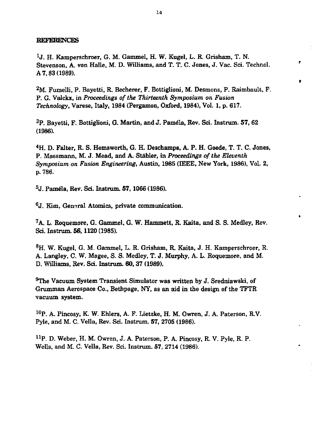#### **REFERENCES**

**\*J. H. Kamperschroer, G. M. Gammel, H. W. Kugel, L. R. Grisham, T. N. Stevenson, A, von Halle, M. D. Williams, and T. T. C. Jones, J. Vac. Sci. Technol. A 7,83 (1989).** 

٠

<sup>2</sup>M. Fumelli, P. Bayetti, R. Becherer, F. Bottiglioni, M. Desmons, P. Raimbault, F. **P. G. Valckx, in** *Proceedings of the Thirteenth Symposium on Fusion Technology,* **Varese, Italy, 1984 (Pergamon, Oxford, 1984), Vol. 1, p. 617.** 

**<sup>3</sup>P. Bayetti, F. Bottiglioni, G. Martin, and J. Pamela, Rev. Sci. Instrum. 57, 62 (1986).** 

**<sup>4</sup>H. D. Falter, R. S. Hemsworth, G. H. Deschamps, A. P. H. Goede, T. T. C. Jones, P. Massmann, M. J. Mead, and A. Stabler, in** *Proceedings of the Eleventh Symposium on Fusion Engineering,* **Austin, 1985 (IEEE, New York, 1986), Vol. 2, p. 786.** 

**5 J. Pamela, Rev. Sci. Instrum. 57,1066 (1986).** 

**6 J. Kim, General Atomics, private communication.** 

**<sup>7</sup>A. L. Roquemore, G. Gammel. G. W. Hammett, R. Kaita, and S. S. Medley, Rev. Sci. Instrum. 56, 1120 (1985).** 

**<sup>8</sup>H. W. Kugel, G. M. Gammel, L. R. Grisham, R. Kaita, J. H. Kamperschroer, R. A. Langley, C. W. Magee, S. S. Medley, T. J. Murphy, A. L. Roquemore, and M. D. Williams, Rev. Sci. Instrum. 60, 37 (1989).** 

**^The Vacuum System Transient Simulator was written by J. Sredniawski, of Grumman Aerospace Co., Bethpage, NY, as an aid in the design of the TFTR vacuum system.** 

**1 0P. A. Pincosy, K. W. Ehlers, A. F. Lietzke, H. M. Owren, J. A. Paterson, R.V. Pyle, and M. C. Vella, Rev. Sci. Instrum. 57, 2705 (1986).** 

**<sup>n</sup> P . D. Weber, H. M. Owren, J. A. Paterson, P. A. Pincosy, R. V. Pyle, R. P. Wells, and M. C. Vella, Rev. Sci. Instrum. 57, 2714 (1986).**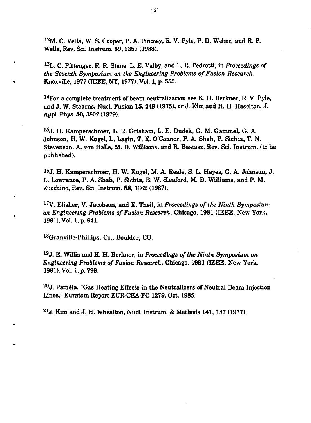**1 2M. C. Vella, W. S. Cooper, P. A. Pincosy, R. V. Pyle, P. D. Weber, and R. P. Wells, Rev. Sci. Instrum. 59, 2357 (1988).** 

**1 3L. C. Pittenger, R. R. Stone, L. E. Valby, and L. R. Pedrotti, in** *Proceedings of the Seventh Symposium on the Engineering Problems of Fusion Research,*  **Knoxville, 1977 (IEEE, NY, 1977), Vol. 1, p. 555.** 

**1 4For a complete treatment of beam neutralization see K. H. Berkner, R. V. Pyle, and J. W. Stearns, Nucl. Fusion 15, 249 (1975), or J. Kim and H. H. Haselton, J. Appl. Phys. 50,3802 (1979).** 

**1 5 J. H. Kamperschroer, L. R. Grisham, L. E. Dudek, G. M. Gammel, G. A. Johnson, H. W. Kugel, L. Lagin, T. E. O'Connor, P. A. Shah, P. Sichta, T. N. Stevenson, A. von Halle, M. D. Williams, and R. Bastasz, Rev. Sci. Instrum. (to be published).** 

**1 6 J. H. Kamperschroer, H. W. Kugel, M. A. Reale, S. L. Hayes, G. A. Johnson, J. L. Lowrance, P. A. Shah, P. Sichta, B. W. Sleaford, M. D. Williams, and P. M. Zucchino, Rev. Sci. Instrum. 58, 1362 (1987).** 

**1 7V. Elisher, V. Jacobson, and E. Theil, in** *Proceedings of the Ninth Symposium on Engineering Problems of Fusion Research,* **Chicago, 1981 (IEEE, New York, 1981), Vol. 1, p. 941.** 

**<sup>18</sup>Granville-Phillips, Co., Boulder, CO.** 

×

**1 9 J. E. Willis and K. H. Berkner, in** *Proceedings of the Ninth Symposium on Engineering Problems of Fusion Research,* **Chicago, 1981 (IEEE, New York, 1981), Vol. i, p. 798.** 

*<sup>20</sup>J.* **Pamela, "Gas Heating Effects in the Neutralizers of Neutral Beam Injection Lines," Euratom Report EUR-CEA-FC-1279, Oct. 1985.** 

**2lJ. Kim and J. H. Whealton, Nucl. Instrum. & Methods 141, 187 (1977).**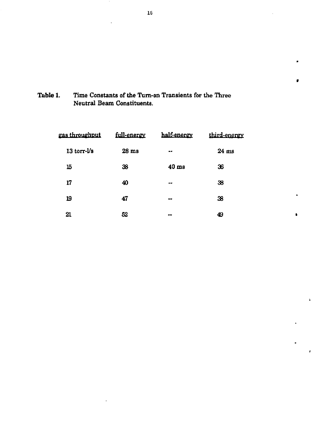Table 1. Time Constants of the Turn-on Transients for the Three Neutral Beam Constituents.

| gas throughput            | full-energy      | half-energy      | third-energy |
|---------------------------|------------------|------------------|--------------|
| $13$ torr- $\mathsf{l/s}$ | 28 <sub>ms</sub> | $\bullet\bullet$ | $24$ ms      |
| 15                        | 38               | 40 <sub>ms</sub> | 36           |
| 17                        | 40               | $-$              | 38           |
| 19                        | 47               | --               | 38           |
| 21                        | 52               | --               | 49           |

 $\bullet$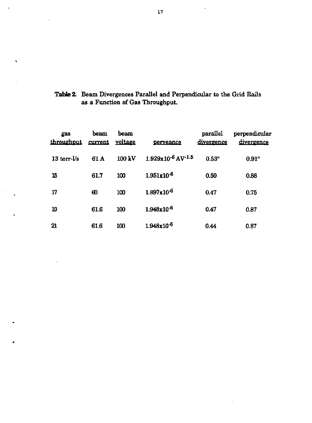| Table 2. Beam Divergences Parallel and Perpendicular to the Grid Rails |
|------------------------------------------------------------------------|
| as a Function of Gas Throughput.                                       |

 $\overline{\phantom{a}}$ 

| gas<br>throughput | beam<br>current | beam<br>voltage | perveance              | parallel<br>divergence | perpendicular<br>divergence |
|-------------------|-----------------|-----------------|------------------------|------------------------|-----------------------------|
| $13$ torr- $1/s$  | 61 A            | 100 kV          | $1.929x10^{-6}$ AV-1.5 | $0.53^{\circ}$         | $0.91^\circ$                |
| 15                | 61.7            | 100             | $1.951 \times 10^{-6}$ | 0.50                   | 0.88                        |
| 17                | ഌ               | 100             | $1.897 \times 10^{-6}$ | 0.47                   | 0.75                        |
| 19                | 61.6            | 100             | $1.948x10^{-6}$        | 0.47                   | 0.87                        |
| 21                | 61.6            | 100             | 1.948x10 <sup>-6</sup> | 0.44                   | 0.87                        |

 $\ddot{\phantom{0}}$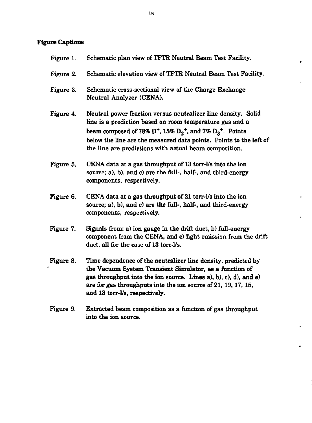# **Figure Captions**

| Figure 1. | Schematic plan view of TFTR Neutral Beam Test Facility.                                                                                                                                                                                                                                                                                                                          |
|-----------|----------------------------------------------------------------------------------------------------------------------------------------------------------------------------------------------------------------------------------------------------------------------------------------------------------------------------------------------------------------------------------|
| Figure 2. | Schematic elevation view of TFTR Neutral Beam Test Facility.                                                                                                                                                                                                                                                                                                                     |
| Figure 3. | Schematic cross-sectional view of the Charge Exchange<br>Neutral Analyzer (CENA).                                                                                                                                                                                                                                                                                                |
| Figure 4. | Neutral power fraction versus neutralizer line density. Solid<br>line is a prediction based on room temperature gas and a<br>beam composed of 78% D <sup>+</sup> , 15% D <sub>2</sub> <sup>+</sup> , and 7% D <sub>3</sub> <sup>+</sup> . Points<br>below the line are the measured data points. Points to the left of<br>the line are predictions with actual beam composition. |
| Figure 5. | CENA data at a gas throughput of 13 torr-l's into the ion<br>source; a), b), and c) are the full-, half-, and third-energy<br>components, respectively.                                                                                                                                                                                                                          |
| Figure 6. | CENA data at a gas throughput of 21 torr-Vs into the ion<br>source; a), b), and c) are the full-, half-, and third-energy<br>components, respectively.                                                                                                                                                                                                                           |
| Figure 7. | Signals from: a) ion gauge in the drift duct, b) full-energy<br>component from the CENA, and c) light emission from the drift<br>duct, all for the case of 13 torr-l/s.                                                                                                                                                                                                          |
| Figure 8. | Time dependence of the neutralizer line density, predicted by<br>the Vacuum System Transient Simulator, as a function of<br>gas throughput into the ion source. Lines a), b), c), d), and e)<br>are for gas throughputs into the ion source of 21, 19, 17, 15,<br>and 13 torr-l/s, respectively.                                                                                 |

Figure 9. Extracted beam composition as a function of gas throughput into the ion source.

 $\epsilon$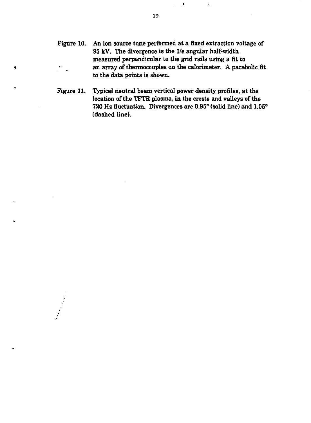- Figure 10. An ion source tune performed at a fixed extraction voltage of 95 kV. The divergence is the 1/e angular half-width measured perpendicular to the grid rails using a fit to » an array of thermocouples on the calorimeter. A parabolic fit to the data points is shown.
	- Figure 11. Typical neutral beam vertical power density profiles, at the location of the TFTR plasma, in the crests and valleys of the 720 Hz fluctuation. Divergences are 0.95" (solid line) and 1.05° (dashed line).

 $\Delta$ 

 $\bar{\underline{\mathbf{r}}}$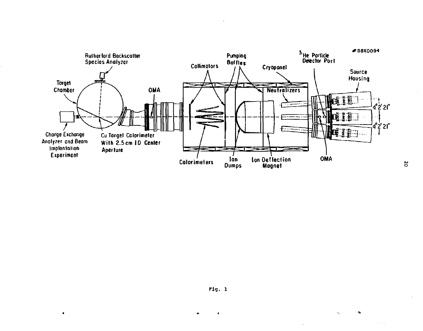

 $\Delta$ 

 $\ddot{\phantom{1}}$ 

 $\bullet$ 

 $\bullet$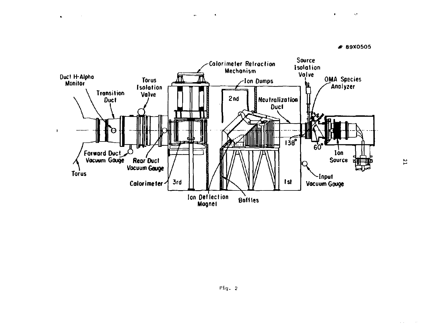

k.

 $\mathbf{r}$ 



 $\ddot{\phantom{1}}$ 

 $\mathbf{r}$ **Contractor**   $\bullet$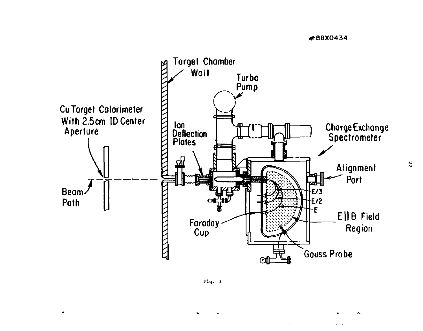

 $\overline{\phantom{a}}$ 

 $\Delta$ 



22

÷.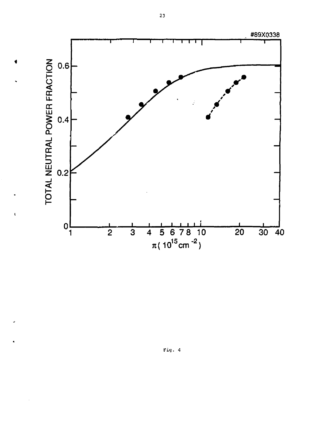

ť

Fig. 4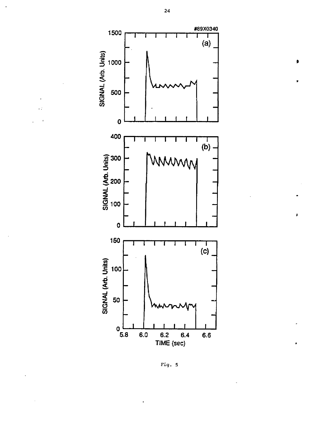

ś

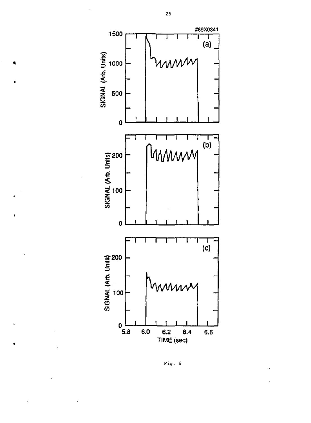



 $\bullet$ 

 $\overline{1}$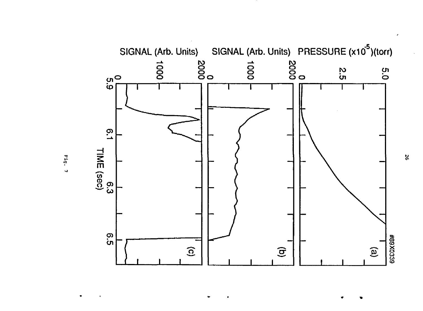

Fig. 7

S.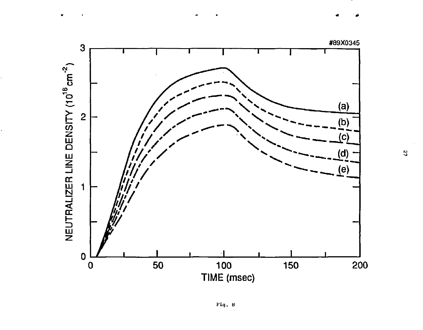

Ŋ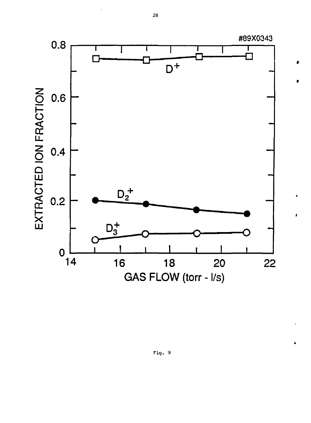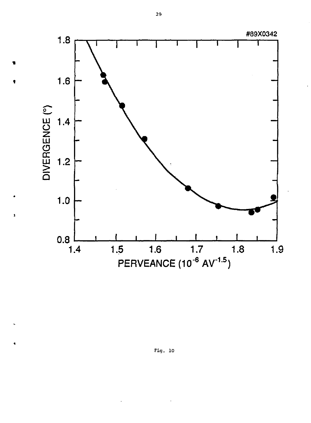

ś

Fig.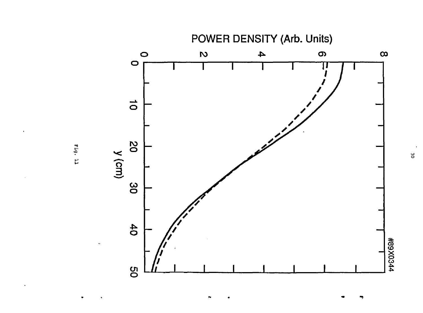



ă